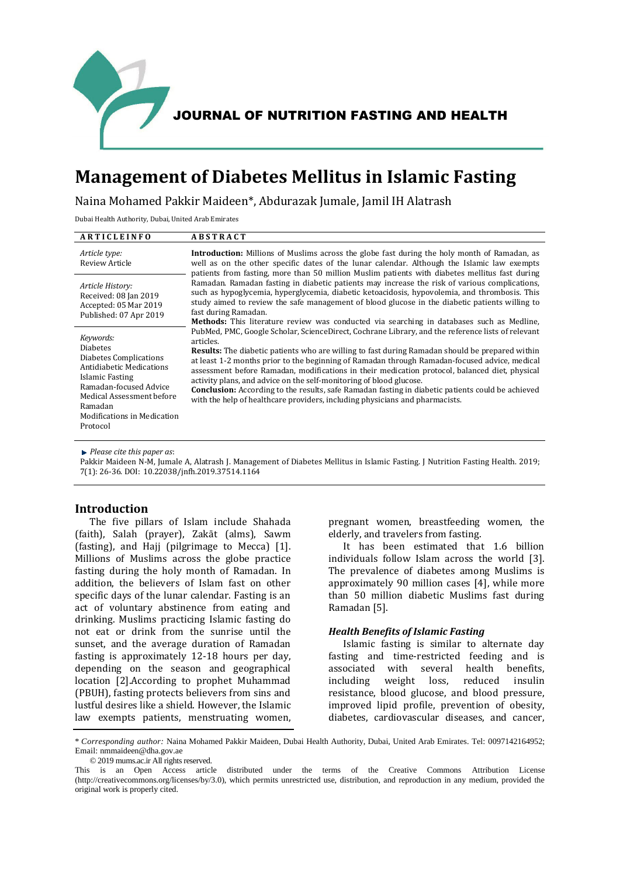

# **Management of Diabetes Mellitus in Islamic Fasting**

Naina Mohamed Pakkir Maideen\*, Abdurazak Jumale, Jamil IH Alatrash

Dubai Health Authority, Dubai, United Arab Emirates

| ARTICLEINFO                                                                                                                                                                                                               | <b>ABSTRACT</b>                                                                                                                                                                                                                                                                                                                                                                                                                                                                                                                                                                                                                                                                                                                      |  |
|---------------------------------------------------------------------------------------------------------------------------------------------------------------------------------------------------------------------------|--------------------------------------------------------------------------------------------------------------------------------------------------------------------------------------------------------------------------------------------------------------------------------------------------------------------------------------------------------------------------------------------------------------------------------------------------------------------------------------------------------------------------------------------------------------------------------------------------------------------------------------------------------------------------------------------------------------------------------------|--|
| Article type:<br><b>Review Article</b>                                                                                                                                                                                    | <b>Introduction:</b> Millions of Muslims across the globe fast during the holy month of Ramadan, as<br>well as on the other specific dates of the lunar calendar. Although the Islamic law exempts<br>patients from fasting, more than 50 million Muslim patients with diabetes mellitus fast during<br>Ramadan. Ramadan fasting in diabetic patients may increase the risk of various complications,<br>such as hypoglycemia, hyperglycemia, diabetic ketoacidosis, hypovolemia, and thrombosis. This<br>study aimed to review the safe management of blood glucose in the diabetic patients willing to<br>fast during Ramadan.<br><b>Methods:</b> This literature review was conducted via searching in databases such as Medline, |  |
| Article History:<br>Received: 08 Jan 2019<br>Accepted: 05 Mar 2019<br>Published: 07 Apr 2019                                                                                                                              |                                                                                                                                                                                                                                                                                                                                                                                                                                                                                                                                                                                                                                                                                                                                      |  |
| Keywords:<br><b>Diabetes</b><br>Diabetes Complications<br>Antidiabetic Medications<br>Islamic Fasting<br>Ramadan-focused Advice<br>Medical Assessment before<br>Ramadan<br><b>Modifications in Medication</b><br>Protocol | PubMed, PMC, Google Scholar, ScienceDirect, Cochrane Library, and the reference lists of relevant<br>articles.<br><b>Results:</b> The diabetic patients who are willing to fast during Ramadan should be prepared within<br>at least 1-2 months prior to the beginning of Ramadan through Ramadan-focused advice, medical<br>assessment before Ramadan, modifications in their medication protocol, balanced diet, physical<br>activity plans, and advice on the self-monitoring of blood glucose.<br><b>Conclusion:</b> According to the results, safe Ramadan fasting in diabetic patients could be achieved<br>with the help of healthcare providers, including physicians and pharmacists.                                       |  |

*Please cite this paper as*:

Pakkir Maideen N-M, Jumale A, Alatrash J. Management of Diabetes Mellitus in Islamic Fasting. J Nutrition Fasting Health. 2019; 7(1): 26-36. DOI: 10.22038/jnfh.2019.37514.1164

# **Introduction**

The five pillars of Islam include Shahada (faith), Salah (prayer), Zakāt (alms), Sawm (fasting), and Hajj (pilgrimage to Mecca) [1]. Millions of Muslims across the globe practice fasting during the holy month of Ramadan. In addition, the believers of Islam fast on other specific days of the lunar calendar. Fasting is an act of voluntary abstinence from eating and drinking. Muslims practicing Islamic fasting do not eat or drink from the sunrise until the sunset, and the average duration of Ramadan fasting is approximately 12-18 hours per day, depending on the season and geographical location [2].According to prophet Muhammad (PBUH), fasting protects believers from sins and lustful desires like a shield. However, the Islamic law exempts patients, menstruating women,

pregnant women, breastfeeding women, the elderly, and travelers from fasting.

It has been estimated that 1.6 billion individuals follow Islam across the world [3]. The prevalence of diabetes among Muslims is approximately 90 million cases [4], while more than 50 million diabetic Muslims fast during Ramadan [5].

### *Health Benefits of Islamic Fasting*

Islamic fasting is similar to alternate day fasting and time-restricted feeding and is associated with several health benefits, including weight loss, reduced insulin resistance, blood glucose, and blood pressure, improved lipid profile, prevention of obesity, diabetes, cardiovascular diseases, and cancer,

<sup>\*</sup> *Corresponding author:* Naina Mohamed Pakkir Maideen, Dubai Health Authority, Dubai, United Arab Emirates. Tel: 0097142164952; Email: nmmaideen@dha.gov.ae

<sup>© 2019</sup> mums.ac.ir All rights reserved.

This is an Open Access article distributed under the terms of the Creative Commons Attribution License (http://creativecommons.org/licenses/by/3.0), which permits unrestricted use, distribution, and reproduction in any medium, provided the original work is properly cited.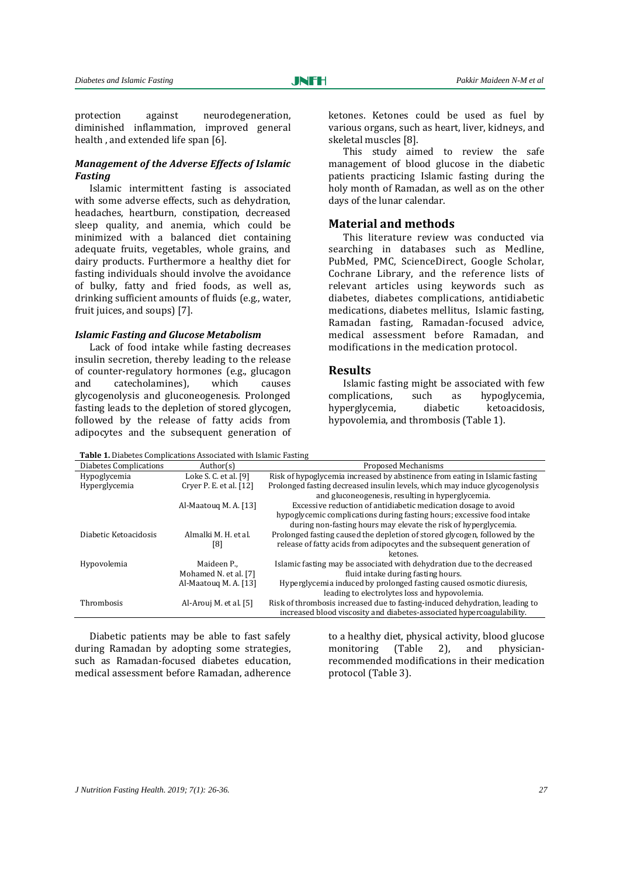protection against neurodegeneration, diminished inflammation, improved general health , and extended life span [6].

## *Management of the Adverse Effects of Islamic Fasting*

Islamic intermittent fasting is associated with some adverse effects, such as dehydration, headaches, heartburn, constipation, decreased sleep quality, and anemia, which could be minimized with a balanced diet containing adequate fruits, vegetables, whole grains, and dairy products. Furthermore a healthy diet for fasting individuals should involve the avoidance of bulky, fatty and fried foods, as well as, drinking sufficient amounts of fluids (e.g., water, fruit juices, and soups) [7].

#### *Islamic Fasting and Glucose Metabolism*

Lack of food intake while fasting decreases insulin secretion, thereby leading to the release of counter-regulatory hormones (e.g., glucagon and catecholamines), which causes glycogenolysis and gluconeogenesis. Prolonged fasting leads to the depletion of stored glycogen, followed by the release of fatty acids from adipocytes and the subsequent generation of ketones. Ketones could be used as fuel by various organs, such as heart, liver, kidneys, and skeletal muscles [8].

This study aimed to review the safe management of blood glucose in the diabetic patients practicing Islamic fasting during the holy month of Ramadan, as well as on the other days of the lunar calendar.

# **Material and methods**

This literature review was conducted via searching in databases such as Medline, PubMed, PMC, ScienceDirect, Google Scholar, Cochrane Library, and the reference lists of relevant articles using keywords such as diabetes, diabetes complications, antidiabetic medications, diabetes mellitus, Islamic fasting, Ramadan fasting, Ramadan-focused advice, medical assessment before Ramadan, and modifications in the medication protocol.

#### **Results**

Islamic fasting might be associated with few complications, such as hypoglycemia, hyperglycemia, diabetic ketoacidosis, hypovolemia, and thrombosis (Table 1).

**Table 1.** Diabetes Complications Associated with Islamic Fasting

| Diabetes Complications | Author(s)               | Proposed Mechanisms                                                         |
|------------------------|-------------------------|-----------------------------------------------------------------------------|
| Hypoglycemia           | Loke S. C. et al. [9]   | Risk of hypoglycemia increased by abstinence from eating in Islamic fasting |
| Hyperglycemia          | Cryer P. E. et al. [12] | Prolonged fasting decreased insulin levels, which may induce glycogenolysis |
|                        |                         | and gluconeogenesis, resulting in hyperglycemia.                            |
|                        | Al-Maatoug M.A. [13]    | Excessive reduction of antidiabetic medication dosage to avoid              |
|                        |                         | hypoglycemic complications during fasting hours; excessive food intake      |
|                        |                         | during non-fasting hours may elevate the risk of hyperglycemia.             |
| Diabetic Ketoacidosis  | Almalki M. H. et al.    | Prolonged fasting caused the depletion of stored glycogen, followed by the  |
|                        | [8]                     | release of fatty acids from adipocytes and the subsequent generation of     |
|                        |                         | ketones.                                                                    |
| Hypovolemia            | Maideen P.,             | Islamic fasting may be associated with dehydration due to the decreased     |
|                        | Mohamed N. et al. [7]   | fluid intake during fasting hours.                                          |
|                        | Al-Maatoug M.A. [13]    | Hyperglycemia induced by prolonged fasting caused osmotic diuresis.         |
|                        |                         | leading to electrolytes loss and hypovolemia.                               |
| Thrombosis             | Al-Arouj M. et al. [5]  | Risk of thrombosis increased due to fasting-induced dehydration, leading to |
|                        |                         | increased blood viscosity and diabetes-associated hypercoagulability.       |

Diabetic patients may be able to fast safely during Ramadan by adopting some strategies, such as Ramadan-focused diabetes education, medical assessment before Ramadan, adherence to a healthy diet, physical activity, blood glucose monitoring (Table 2), and physicianrecommended modifications in their medication protocol (Table 3).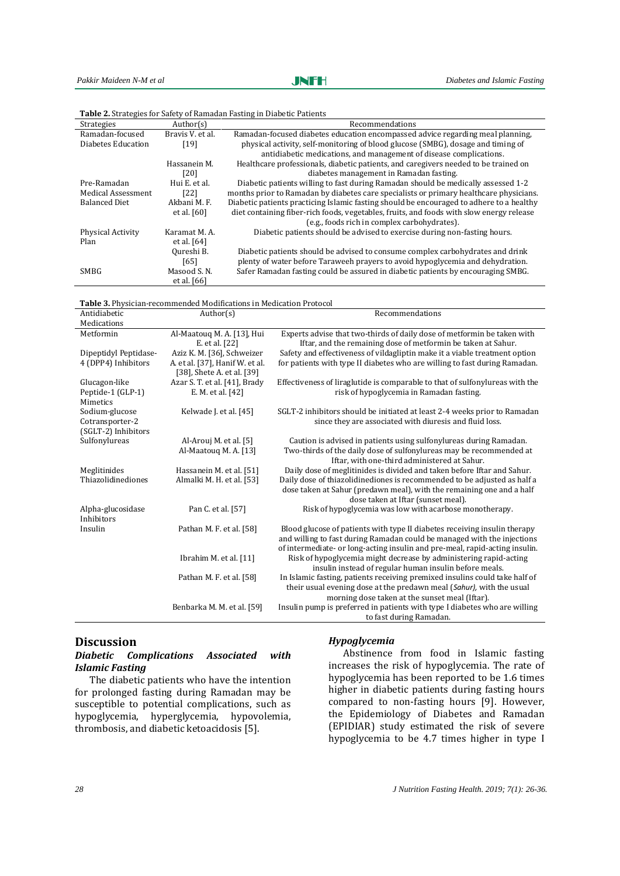| <b>Strategies</b>    | Author(s)        | Recommendations                                                                          |
|----------------------|------------------|------------------------------------------------------------------------------------------|
| Ramadan-focused      | Bravis V, et al. | Ramadan-focused diabetes education encompassed advice regarding meal planning.           |
| Diabetes Education   | [19]             | physical activity, self-monitoring of blood glucose (SMBG), dosage and timing of         |
|                      |                  | antidiabetic medications, and management of disease complications.                       |
|                      | Hassanein M.     | Healthcare professionals, diabetic patients, and caregivers needed to be trained on      |
|                      | [20]             | diabetes management in Ramadan fasting.                                                  |
| Pre-Ramadan          | Hui E. et al.    | Diabetic patients willing to fast during Ramadan should be medically assessed 1-2        |
| Medical Assessment   | [22]             | months prior to Ramadan by diabetes care specialists or primary healthcare physicians.   |
| <b>Balanced Diet</b> | Akbani M.F.      | Diabetic patients practicing Islamic fasting should be encouraged to adhere to a healthy |
|                      | et al. [60]      | diet containing fiber-rich foods, vegetables, fruits, and foods with slow energy release |
|                      |                  | (e.g., foods rich in complex carbohydrates).                                             |
| Physical Activity    | Karamat M. A.    | Diabetic patients should be advised to exercise during non-fasting hours.                |
| Plan                 | et al. $[64]$    |                                                                                          |
|                      | Qureshi B.       | Diabetic patients should be advised to consume complex carbohydrates and drink           |
|                      | [65]             | plenty of water before Taraweeh prayers to avoid hypoglycemia and dehydration.           |
| <b>SMBG</b>          | Masood S.N.      | Safer Ramadan fasting could be assured in diabetic patients by encouraging SMBG.         |
|                      | et al. [66]      |                                                                                          |

**Table 2.** Strategies for Safety of Ramadan Fasting in Diabetic Patients

| Table 3. Physician-recommended Modifications in Medication Protocol |                                 |                                                                              |  |  |  |
|---------------------------------------------------------------------|---------------------------------|------------------------------------------------------------------------------|--|--|--|
| Antidiabetic                                                        | Author(s)                       | Recommendations                                                              |  |  |  |
| Medications                                                         |                                 |                                                                              |  |  |  |
| Metformin                                                           | Al-Maatouq M. A. [13], Hui      | Experts advise that two-thirds of daily dose of metformin be taken with      |  |  |  |
|                                                                     | E. et al. [22]                  | Iftar, and the remaining dose of metformin be taken at Sahur.                |  |  |  |
| Dipeptidyl Peptidase-                                               | Aziz K. M. [36], Schweizer      | Safety and effectiveness of vildagliptin make it a viable treatment option   |  |  |  |
| 4 (DPP4) Inhibitors                                                 | A. et al. [37], Hanif W. et al. | for patients with type II diabetes who are willing to fast during Ramadan.   |  |  |  |
|                                                                     | [38], Shete A. et al. [39]      |                                                                              |  |  |  |
| Glucagon-like                                                       | Azar S. T. et al. [41], Brady   | Effectiveness of liraglutide is comparable to that of sulfonylureas with the |  |  |  |
| Peptide-1 (GLP-1)                                                   | E. M. et al. [42]               | risk of hypoglycemia in Ramadan fasting.                                     |  |  |  |
| Mimetics                                                            |                                 |                                                                              |  |  |  |
| Sodium-glucose                                                      | Kelwade J. et al. [45]          | SGLT-2 inhibitors should be initiated at least 2-4 weeks prior to Ramadan    |  |  |  |
| Cotransporter-2                                                     |                                 | since they are associated with diuresis and fluid loss.                      |  |  |  |
| (SGLT-2) Inhibitors                                                 |                                 |                                                                              |  |  |  |
| Sulfonylureas                                                       | Al-Arouj M. et al. [5]          | Caution is advised in patients using sulfonylureas during Ramadan.           |  |  |  |
|                                                                     | Al-Maatouq M. A. [13]           | Two-thirds of the daily dose of sulfonylureas may be recommended at          |  |  |  |
|                                                                     |                                 | Iftar, with one-third administered at Sahur.                                 |  |  |  |
| Meglitinides                                                        | Hassanein M. et al. [51]        | Daily dose of meglitinides is divided and taken before Iftar and Sahur.      |  |  |  |
| Thiazolidinediones                                                  | Almalki M. H. et al. [53]       | Daily dose of thiazolidinediones is recommended to be adjusted as half a     |  |  |  |
|                                                                     |                                 | dose taken at Sahur (predawn meal), with the remaining one and a half        |  |  |  |
|                                                                     |                                 | dose taken at Iftar (sunset meal).                                           |  |  |  |
| Alpha-glucosidase                                                   | Pan C. et al. [57]              | Risk of hypoglycemia was low with acarbose monotherapy.                      |  |  |  |
| Inhibitors                                                          |                                 |                                                                              |  |  |  |
| Insulin                                                             | Pathan M. F. et al. [58]        | Blood glucose of patients with type II diabetes receiving insulin therapy    |  |  |  |
|                                                                     |                                 | and willing to fast during Ramadan could be managed with the injections      |  |  |  |
|                                                                     |                                 | of intermediate- or long-acting insulin and pre-meal, rapid-acting insulin.  |  |  |  |
|                                                                     | Ibrahim M. et al. [11]          | Risk of hypoglycemia might decrease by administering rapid-acting            |  |  |  |
|                                                                     |                                 | insulin instead of regular human insulin before meals.                       |  |  |  |
|                                                                     | Pathan M. F. et al. [58]        | In Islamic fasting, patients receiving premixed insulins could take half of  |  |  |  |
|                                                                     |                                 | their usual evening dose at the predawn meal (Sahur), with the usual         |  |  |  |
|                                                                     |                                 | morning dose taken at the sunset meal (Iftar).                               |  |  |  |
|                                                                     | Benbarka M. M. et al. [59]      | Insulin pump is preferred in patients with type I diabetes who are willing   |  |  |  |
|                                                                     |                                 | to fast during Ramadan.                                                      |  |  |  |

# **Discussion**

# *Diabetic Complications Associated with Islamic Fasting*

The diabetic patients who have the intention for prolonged fasting during Ramadan may be susceptible to potential complications, such as hypoglycemia, hyperglycemia, hypovolemia, thrombosis, and diabetic ketoacidosis [5].

# *Hypoglycemia*

Abstinence from food in Islamic fasting increases the risk of hypoglycemia. The rate of hypoglycemia has been reported to be 1.6 times higher in diabetic patients during fasting hours compared to non-fasting hours [9]. However, the Epidemiology of Diabetes and Ramadan (EPIDIAR) study estimated the risk of severe hypoglycemia to be 4.7 times higher in type I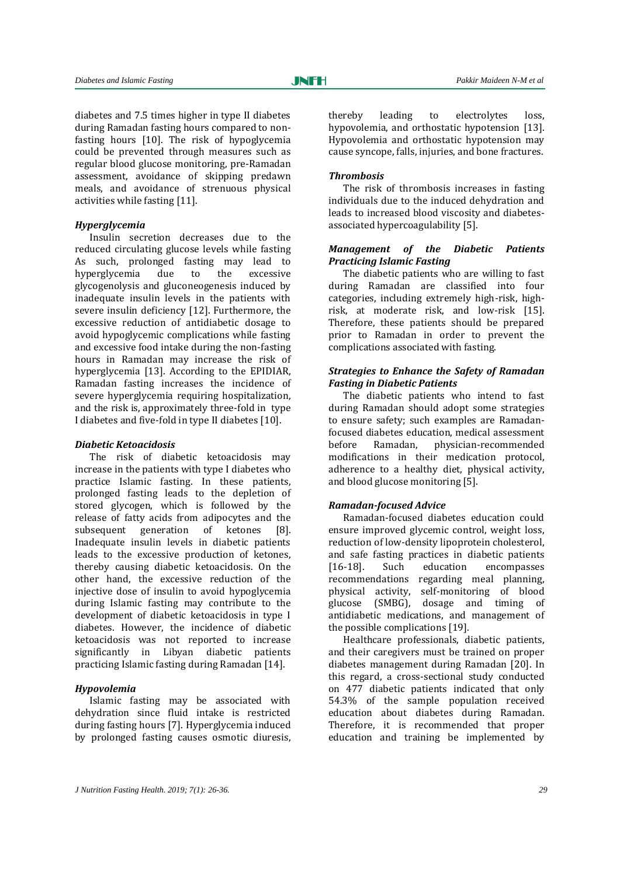diabetes and 7.5 times higher in type II diabetes during Ramadan fasting hours compared to nonfasting hours [10]. The risk of hypoglycemia could be prevented through measures such as regular blood glucose monitoring, pre-Ramadan assessment, avoidance of skipping predawn meals, and avoidance of strenuous physical activities while fasting [11].

## *Hyperglycemia*

Insulin secretion decreases due to the reduced circulating glucose levels while fasting As such, prolonged fasting may lead to hyperglycemia due to the excessive glycogenolysis and gluconeogenesis induced by inadequate insulin levels in the patients with severe insulin deficiency [12]. Furthermore, the excessive reduction of antidiabetic dosage to avoid hypoglycemic complications while fasting and excessive food intake during the non-fasting hours in Ramadan may increase the risk of hyperglycemia [13]. According to the EPIDIAR, Ramadan fasting increases the incidence of severe hyperglycemia requiring hospitalization, and the risk is, approximately three-fold in type I diabetes and five-fold in type II diabetes [10].

#### *Diabetic Ketoacidosis*

The risk of diabetic ketoacidosis may increase in the patients with type I diabetes who practice Islamic fasting. In these patients, prolonged fasting leads to the depletion of stored glycogen, which is followed by the release of fatty acids from adipocytes and the subsequent generation of ketones [8]. Inadequate insulin levels in diabetic patients leads to the excessive production of ketones, thereby causing diabetic ketoacidosis. On the other hand, the excessive reduction of the injective dose of insulin to avoid hypoglycemia during Islamic fasting may contribute to the development of diabetic ketoacidosis in type I diabetes. However, the incidence of diabetic ketoacidosis was not reported to increase significantly in Libyan diabetic patients practicing Islamic fasting during Ramadan [14].

#### *Hypovolemia*

Islamic fasting may be associated with dehydration since fluid intake is restricted during fasting hours [7]. Hyperglycemia induced by prolonged fasting causes osmotic diuresis, thereby leading to electrolytes loss, hypovolemia, and orthostatic hypotension [13]. Hypovolemia and orthostatic hypotension may cause syncope, falls, injuries, and bone fractures.

#### *Thrombosis*

The risk of thrombosis increases in fasting individuals due to the induced dehydration and leads to increased blood viscosity and diabetesassociated hypercoagulability [5].

# *Management of the Diabetic Patients Practicing Islamic Fasting*

The diabetic patients who are willing to fast during Ramadan are classified into four categories, including extremely high-risk, highrisk, at moderate risk, and low-risk [15]. Therefore, these patients should be prepared prior to Ramadan in order to prevent the complications associated with fasting.

#### *Strategies to Enhance the Safety of Ramadan Fasting in Diabetic Patients*

The diabetic patients who intend to fast during Ramadan should adopt some strategies to ensure safety; such examples are Ramadanfocused diabetes education, medical assessment before Ramadan, physician-recommended modifications in their medication protocol, adherence to a healthy diet, physical activity, and blood glucose monitoring [5].

#### *Ramadan-focused Advice*

Ramadan-focused diabetes education could ensure improved glycemic control, weight loss, reduction of low-density lipoprotein cholesterol, and safe fasting practices in diabetic patients [16-18]. Such education encompasses recommendations regarding meal planning, physical activity, self-monitoring of blood glucose (SMBG), dosage and timing of antidiabetic medications, and management of the possible complications [19].

Healthcare professionals, diabetic patients, and their caregivers must be trained on proper diabetes management during Ramadan [20]. In this regard, a cross-sectional study conducted on 477 diabetic patients indicated that only 54.3% of the sample population received education about diabetes during Ramadan. Therefore, it is recommended that proper education and training be implemented by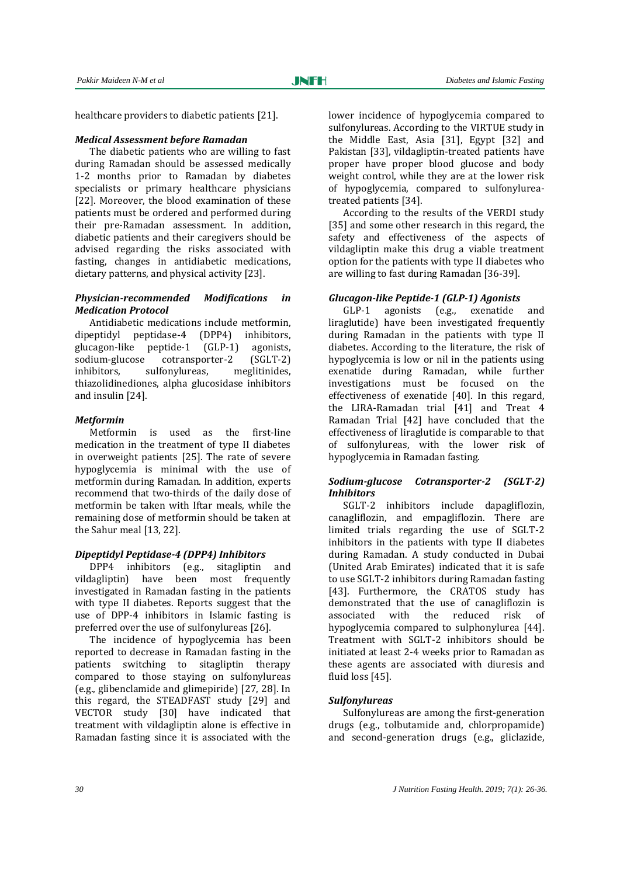healthcare providers to diabetic patients [21].

#### *Medical Assessment before Ramadan*

The diabetic patients who are willing to fast during Ramadan should be assessed medically 1-2 months prior to Ramadan by diabetes specialists or primary healthcare physicians [22]. Moreover, the blood examination of these patients must be ordered and performed during their pre-Ramadan assessment. In addition, diabetic patients and their caregivers should be advised regarding the risks associated with fasting, changes in antidiabetic medications, dietary patterns, and physical activity [23].

# *Physician-recommended Modifications in Medication Protocol*

Antidiabetic medications include metformin, dipeptidyl peptidase-4 (DPP4) inhibitors, glucagon-like peptide-1 (GLP-1) agonists, sodium-glucose cotransporter-2 (SGLT-2) inhibitors, sulfonylureas, meglitinides, thiazolidinediones, alpha glucosidase inhibitors and insulin [24].

#### *Metformin*

Metformin is used as the first-line medication in the treatment of type II diabetes in overweight patients [25]. The rate of severe hypoglycemia is minimal with the use of metformin during Ramadan. In addition, experts recommend that two-thirds of the daily dose of metformin be taken with Iftar meals, while the remaining dose of metformin should be taken at the Sahur meal [13, 22].

#### *Dipeptidyl Peptidase-4 (DPP4) Inhibitors*

DPP4 inhibitors (e.g., sitagliptin and vildagliptin) have been most frequently investigated in Ramadan fasting in the patients with type II diabetes. Reports suggest that the use of DPP‐4 inhibitors in Islamic fasting is preferred over the use of sulfonylureas [26].

The incidence of hypoglycemia has been reported to decrease in Ramadan fasting in the patients switching to sitagliptin therapy compared to those staying on sulfonylureas (e.g., glibenclamide and glimepiride) [27, 28]. In this regard, the STEADFAST study [29] and VECTOR study [30] have indicated that treatment with vildagliptin alone is effective in Ramadan fasting since it is associated with the

lower incidence of hypoglycemia compared to sulfonylureas. According to the VIRTUE study in the Middle East, Asia [31], Egypt [32] and Pakistan [33], vildagliptin-treated patients have proper have proper blood glucose and body weight control, while they are at the lower risk of hypoglycemia, compared to sulfonylureatreated patients [34].

According to the results of the VERDI study [35] and some other research in this regard, the safety and effectiveness of the aspects of vildagliptin make this drug a viable treatment option for the patients with type II diabetes who are willing to fast during Ramadan [36-39].

# *Glucagon-like Peptide-1 (GLP-1) Agonists*

GLP-1 agonists (e.g., exenatide and liraglutide) have been investigated frequently during Ramadan in the patients with type II diabetes. According to the literature, the risk of hypoglycemia is low or nil in the patients using exenatide during Ramadan, while further investigations must be focused on the effectiveness of exenatide [40]. In this regard, the LIRA‐Ramadan trial [41] and Treat 4 Ramadan Trial [42] have concluded that the effectiveness of liraglutide is comparable to that of sulfonylureas, with the lower risk of hypoglycemia in Ramadan fasting.

# *Sodium-glucose Cotransporter-2 (SGLT-2) Inhibitors*

SGLT-2 inhibitors include dapagliflozin, canagliflozin, and empagliflozin. There are limited trials regarding the use of SGLT-2 inhibitors in the patients with type II diabetes during Ramadan. A study conducted in Dubai (United Arab Emirates) indicated that it is safe to use SGLT-2 inhibitors during Ramadan fasting [43]. Furthermore, the CRATOS study has demonstrated that the use of canagliflozin is associated with the reduced risk of hypoglycemia compared to sulphonylurea [44]. Treatment with SGLT-2 inhibitors should be initiated at least 2-4 weeks prior to Ramadan as these agents are associated with diuresis and fluid loss [45].

# *Sulfonylureas*

Sulfonylureas are among the first-generation drugs (e.g., tolbutamide and, chlorpropamide) and second-generation drugs (e.g., gliclazide,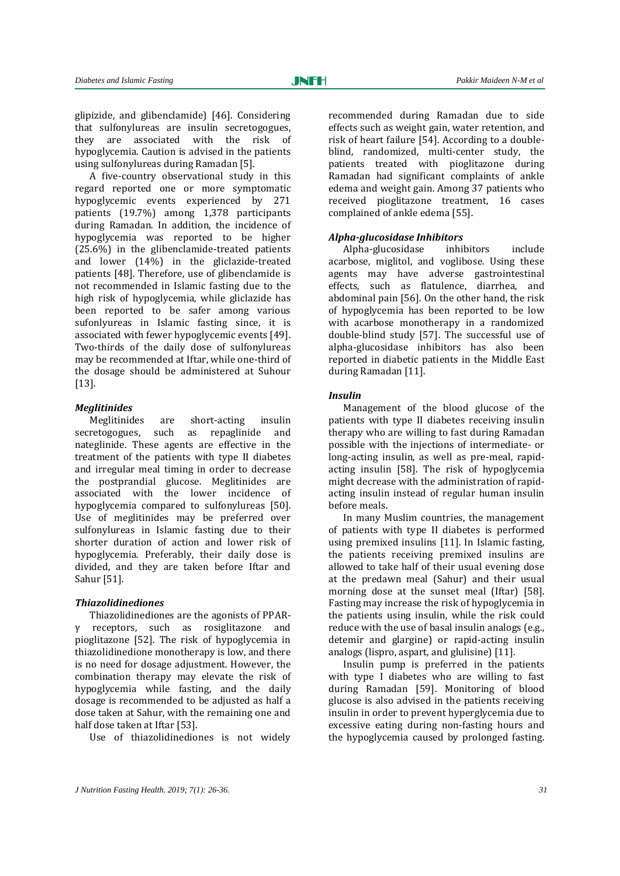glipizide, and glibenclamide) [46]. Considering that sulfonylureas are insulin secretogogues, they are associated with the risk of hypoglycemia. Caution is advised in the patients using sulfonylureas during Ramadan [5].

A five-country observational study in this regard reported one or more symptomatic hypoglycemic events experienced by 271 patients (19.7%) among 1,378 participants during Ramadan. In addition, the incidence of hypoglycemia was reported to be higher (25.6%) in the glibenclamide-treated patients and lower (14%) in the gliclazide-treated patients [48]. Therefore, use of glibenclamide is not recommended in Islamic fasting due to the high risk of hypoglycemia, while gliclazide has been reported to be safer among various sufonlyureas in Islamic fasting since, it is associated with fewer hypoglycemic events [49]. Two-thirds of the daily dose of sulfonylureas may be recommended at Iftar, while one-third of the dosage should be administered at Suhour [13].

#### *Meglitinides*

Meglitinides are short-acting insulin secretogogues, such as repaglinide and nateglinide. These agents are effective in the treatment of the patients with type II diabetes and irregular meal timing in order to decrease the postprandial glucose. Meglitinides are associated with the lower incidence of hypoglycemia compared to sulfonylureas [50]. Use of meglitinides may be preferred over sulfonylureas in Islamic fasting due to their shorter duration of action and lower risk of hypoglycemia. Preferably, their daily dose is divided, and they are taken before Iftar and Sahur [51].

#### *Thiazolidinediones*

Thiazolidinediones are the agonists of PPARγ receptors, such as rosiglitazone and pioglitazone [52]. The risk of hypoglycemia in thiazolidinedione monotherapy is low, and there is no need for dosage adjustment. However, the combination therapy may elevate the risk of hypoglycemia while fasting, and the daily dosage is recommended to be adjusted as half a dose taken at Sahur, with the remaining one and half dose taken at Iftar [53].

Use of thiazolidinediones is not widely

recommended during Ramadan due to side effects such as weight gain, water retention, and risk of heart failure [54]. According to a doubleblind, randomized, multi-center study, the patients treated with pioglitazone during Ramadan had significant complaints of ankle edema and weight gain. Among 37 patients who received pioglitazone treatment, 16 cases complained of ankle edema [55].

#### *Alpha-glucosidase Inhibitors*

Alpha-glucosidase inhibitors include acarbose, miglitol, and voglibose. Using these agents may have adverse gastrointestinal effects, such as flatulence, diarrhea, and abdominal pain [56]. On the other hand, the risk of hypoglycemia has been reported to be low with acarbose monotherapy in a randomized double-blind study [57]. The successful use of alpha-glucosidase inhibitors has also been reported in diabetic patients in the Middle East during Ramadan [11].

#### *Insulin*

Management of the blood glucose of the patients with type II diabetes receiving insulin therapy who are willing to fast during Ramadan possible with the injections of intermediate- or long-acting insulin, as well as pre-meal, rapidacting insulin [58]. The risk of hypoglycemia might decrease with the administration of rapidacting insulin instead of regular human insulin before meals.

In many Muslim countries, the management of patients with type II diabetes is performed using premixed insulins [11]. In Islamic fasting, the patients receiving premixed insulins are allowed to take half of their usual evening dose at the predawn meal (Sahur) and their usual morning dose at the sunset meal (Iftar) [58]. Fasting may increase the risk of hypoglycemia in the patients using insulin, while the risk could reduce with the use of basal insulin analogs (e.g., detemir and glargine) or rapid-acting insulin analogs (lispro, aspart, and glulisine) [11].

Insulin pump is preferred in the patients with type I diabetes who are willing to fast during Ramadan [59]. Monitoring of blood glucose is also advised in the patients receiving insulin in order to prevent hyperglycemia due to excessive eating during non-fasting hours and the hypoglycemia caused by prolonged fasting.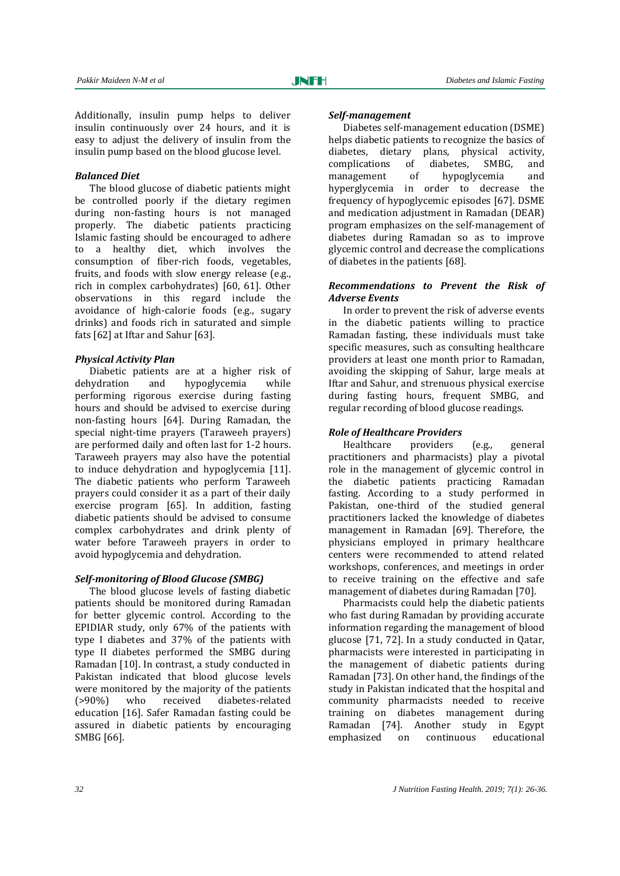Additionally, insulin pump helps to deliver insulin continuously over 24 hours, and it is easy to adjust the delivery of insulin from the insulin pump based on the blood glucose level.

## *Balanced Diet*

The blood glucose of diabetic patients might be controlled poorly if the dietary regimen during non-fasting hours is not managed properly. The diabetic patients practicing Islamic fasting should be encouraged to adhere to a healthy diet, which involves the consumption of fiber-rich foods, vegetables, fruits, and foods with slow energy release (e.g., rich in complex carbohydrates) [60, 61]. Other observations in this regard include the avoidance of high-calorie foods (e.g., sugary drinks) and foods rich in saturated and simple fats [62] at Iftar and Sahur [63].

#### *Physical Activity Plan*

Diabetic patients are at a higher risk of dehydration and hypoglycemia while performing rigorous exercise during fasting hours and should be advised to exercise during non-fasting hours [64]. During Ramadan, the special night-time prayers (Taraweeh prayers) are performed daily and often last for 1-2 hours. Taraweeh prayers may also have the potential to induce dehydration and hypoglycemia [11]. The diabetic patients who perform Taraweeh prayers could consider it as a part of their daily exercise program [65]. In addition, fasting diabetic patients should be advised to consume complex carbohydrates and drink plenty of water before Taraweeh prayers in order to avoid hypoglycemia and dehydration.

#### *Self-monitoring of Blood Glucose (SMBG)*

The blood glucose levels of fasting diabetic patients should be monitored during Ramadan for better glycemic control. According to the EPIDIAR study, only 67% of the patients with type I diabetes and 37% of the patients with type II diabetes performed the SMBG during Ramadan [10]. In contrast, a study conducted in Pakistan indicated that blood glucose levels were monitored by the majority of the patients (>90%) who received diabetes-related education [16]. Safer Ramadan fasting could be assured in diabetic patients by encouraging SMBG [66].

#### *Self-management*

Diabetes self-management education (DSME) helps diabetic patients to recognize the basics of diabetes, dietary plans, physical activity, complications of diabetes, SMBG, and management of hypoglycemia and hyperglycemia in order to decrease the frequency of hypoglycemic episodes [67]. DSME and medication adjustment in Ramadan (DEAR) program emphasizes on the self-management of diabetes during Ramadan so as to improve glycemic control and decrease the complications of diabetes in the patients [68].

## *Recommendations to Prevent the Risk of Adverse Events*

In order to prevent the risk of adverse events in the diabetic patients willing to practice Ramadan fasting, these individuals must take specific measures, such as consulting healthcare providers at least one month prior to Ramadan, avoiding the skipping of Sahur, large meals at Iftar and Sahur, and strenuous physical exercise during fasting hours, frequent SMBG, and regular recording of blood glucose readings.

# *Role of Healthcare Providers*

Healthcare providers (e.g., general practitioners and pharmacists) play a pivotal role in the management of glycemic control in the diabetic patients practicing Ramadan fasting. According to a study performed in Pakistan, one-third of the studied general practitioners lacked the knowledge of diabetes management in Ramadan [69]. Therefore, the physicians employed in primary healthcare centers were recommended to attend related workshops, conferences, and meetings in order to receive training on the effective and safe management of diabetes during Ramadan [70].

Pharmacists could help the diabetic patients who fast during Ramadan by providing accurate information regarding the management of blood glucose [71, 72]. In a study conducted in Qatar, pharmacists were interested in participating in the management of diabetic patients during Ramadan [73]. On other hand, the findings of the study in Pakistan indicated that the hospital and community pharmacists needed to receive training on diabetes management during Ramadan [74]. Another study in Egypt emphasized on continuous educational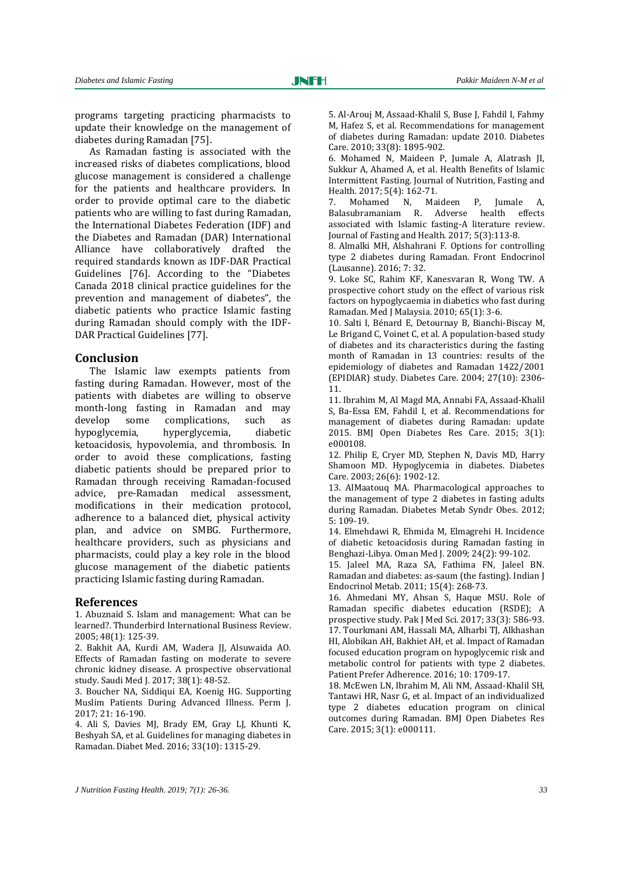programs targeting practicing pharmacists to update their knowledge on the management of diabetes during Ramadan [75].

As Ramadan fasting is associated with the increased risks of diabetes complications, blood glucose management is considered a challenge for the patients and healthcare providers. In order to provide optimal care to the diabetic patients who are willing to fast during Ramadan, the International Diabetes Federation (IDF) and the Diabetes and Ramadan (DAR) International Alliance have collaboratively drafted the required standards known as IDF-DAR Practical Guidelines [76]. According to the "Diabetes Canada 2018 clinical practice guidelines for the prevention and management of diabetes", the diabetic patients who practice Islamic fasting during Ramadan should comply with the IDF-DAR Practical Guidelines [77].

#### **Conclusion**

The Islamic law exempts patients from fasting during Ramadan. However, most of the patients with diabetes are willing to observe month-long fasting in Ramadan and may develop some complications, such as hypoglycemia, hyperglycemia, diabetic ketoacidosis, hypovolemia, and thrombosis. In order to avoid these complications, fasting diabetic patients should be prepared prior to Ramadan through receiving Ramadan-focused advice, pre-Ramadan medical assessment, modifications in their medication protocol, adherence to a balanced diet, physical activity plan, and advice on SMBG. Furthermore, healthcare providers, such as physicians and pharmacists, could play a key role in the blood glucose management of the diabetic patients practicing Islamic fasting during Ramadan.

#### **References**

1. Abuznaid S. Islam and management: What can be learned?. Thunderbird International Business Review. 2005; 48(1): 125-39.

2. Bakhit AA, Kurdi AM, Wadera JJ, Alsuwaida AO. Effects of Ramadan fasting on moderate to severe chronic kidney disease. A prospective observational study. Saudi Med I. 2017: 38(1): 48-52.

3. Boucher NA, Siddiqui EA, Koenig HG. Supporting Muslim Patients During Advanced Illness. Perm J. 2017; 21: 16-190.

4. Ali S, Davies MJ, Brady EM, Gray LJ, Khunti K, Beshyah SA, et al. Guidelines for managing diabetes in Ramadan. Diabet Med. 2016; 33(10): 1315-29.

5. Al-Arouj M, Assaad-Khalil S, Buse J, Fahdil I, Fahmy M, Hafez S, et al. Recommendations for management of diabetes during Ramadan: update 2010. Diabetes Care. 2010; 33(8): 1895-902.

6. Mohamed N, Maideen P, Jumale A, Alatrash JI, Sukkur A, Ahamed A, et al. Health Benefits of Islamic Intermittent Fasting. Journal of Nutrition, Fasting and Health. 2017; 5(4): 162-71.

7. Mohamed N, Maideen P, Jumale A, Balasubramaniam R. Adverse health effects associated with Islamic fasting-A literature review. Journal of Fasting and Health. 2017; 5(3):113-8.

8. Almalki MH, Alshahrani F. Options for controlling type 2 diabetes during Ramadan. Front Endocrinol (Lausanne). 2016; 7: 32.

9. Loke SC, Rahim KF, Kanesvaran R, Wong TW. A prospective cohort study on the effect of various risk factors on hypoglycaemia in diabetics who fast during Ramadan. Med J Malaysia. 2010; 65(1): 3-6.

10. Salti I, Bénard E, Detournay B, Bianchi-Biscay M, Le Brigand C, Voinet C, et al. A population-based study of diabetes and its characteristics during the fasting month of Ramadan in 13 countries: results of the epidemiology of diabetes and Ramadan 1422/2001 (EPIDIAR) study. Diabetes Care. 2004; 27(10): 2306- 11.

11. Ibrahim M, Al Magd MA, Annabi FA, Assaad-Khalil S, Ba-Essa EM, Fahdil I, et al. Recommendations for management of diabetes during Ramadan: update 2015. BMJ Open Diabetes Res Care. 2015; 3(1): e000108.

12. Philip E, Cryer MD, Stephen N, Davis MD, Harry Shamoon MD. Hypoglycemia in diabetes. Diabetes Care. 2003; 26(6): 1902-12.

13. AlMaatouq MA. Pharmacological approaches to the management of type 2 diabetes in fasting adults during Ramadan. Diabetes Metab Syndr Obes. 2012; 5: 109-19.

14. Elmehdawi R, Ehmida M, Elmagrehi H. Incidence of diabetic ketoacidosis during Ramadan fasting in Benghazi-Libya. Oman Med J. 2009; 24(2): 99-102.

15. Jaleel MA, Raza SA, Fathima FN, Jaleel BN. Ramadan and diabetes: as-saum (the fasting). Indian J Endocrinol Metab. 2011; 15(4): 268-73.

16. Ahmedani MY, Ahsan S, Haque MSU. Role of Ramadan specific diabetes education (RSDE); A prospective study. Pak J Med Sci. 2017; 33(3): 586-93. 17. Tourkmani AM, Hassali MA, Alharbi TJ, Alkhashan HI, Alobikan AH, Bakhiet AH, et al. Impact of Ramadan focused education program on hypoglycemic risk and metabolic control for patients with type 2 diabetes. Patient Prefer Adherence. 2016; 10: 1709-17.

18. McEwen LN, Ibrahim M, Ali NM, Assaad-Khalil SH, Tantawi HR, Nasr G, et al. Impact of an individualized type 2 diabetes education program on clinical outcomes during Ramadan. BMJ Open Diabetes Res Care. 2015; 3(1): e000111.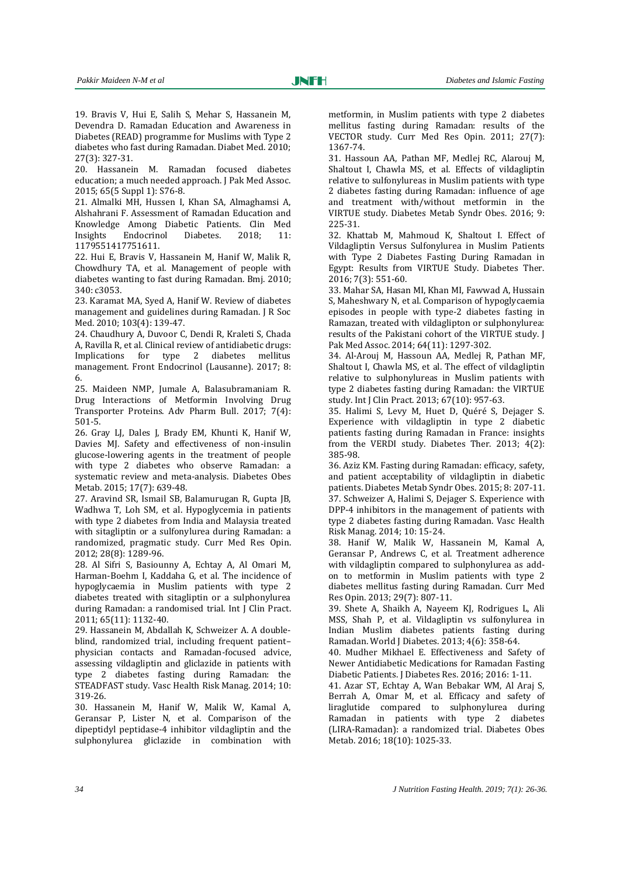19. Bravis V, Hui E, Salih S, Mehar S, Hassanein M, Devendra D. Ramadan Education and Awareness in Diabetes (READ) programme for Muslims with Type 2 diabetes who fast during Ramadan. Diabet Med. 2010; 27(3): 327-31.

20. Hassanein M. Ramadan focused diabetes education; a much needed approach. J Pak Med Assoc. 2015; 65(5 Suppl 1): S76-8.

21. Almalki MH, Hussen I, Khan SA, Almaghamsi A, Alshahrani F. Assessment of Ramadan Education and Knowledge Among Diabetic Patients. Clin Med Insights Endocrinol Diabetes. 2018; 11: 1179551417751611.

22. Hui E, Bravis V, Hassanein M, Hanif W, Malik R, Chowdhury TA, et al. Management of people with diabetes wanting to fast during Ramadan. Bmj. 2010; 340: c3053.

23. Karamat MA, Syed A, Hanif W. Review of diabetes management and guidelines during Ramadan. J R Soc Med. 2010; 103(4): 139-47.

24. Chaudhury A, Duvoor C, Dendi R, Kraleti S, Chada A, Ravilla R, et al. Clinical review of antidiabetic drugs: Implications for type 2 diabetes mellitus management. Front Endocrinol (Lausanne). 2017; 8: 6.

25. Maideen NMP, Jumale A, Balasubramaniam R. Drug Interactions of Metformin Involving Drug Transporter Proteins. Adv Pharm Bull. 2017; 7(4): 501-5.

26. Gray LJ, Dales J, Brady EM, Khunti K, Hanif W, Davies MJ. Safety and effectiveness of non‐insulin glucose‐lowering agents in the treatment of people with type 2 diabetes who observe Ramadan: a systematic review and meta‐analysis. Diabetes Obes Metab. 2015; 17(7): 639-48.

27. Aravind SR, Ismail SB, Balamurugan R, Gupta JB, Wadhwa T, Loh SM, et al. Hypoglycemia in patients with type 2 diabetes from India and Malaysia treated with sitagliptin or a sulfonylurea during Ramadan: a randomized, pragmatic study. Curr Med Res Opin. 2012; 28(8): 1289-96.

28. Al Sifri S, Basiounny A, Echtay A, Al Omari M, Harman‐Boehm I, Kaddaha G, et al. The incidence of hypoglycaemia in Muslim patients with type 2 diabetes treated with sitagliptin or a sulphonylurea during Ramadan: a randomised trial. Int J Clin Pract. 2011; 65(11): 1132-40.

29. Hassanein M, Abdallah K, Schweizer A. A doubleblind, randomized trial, including frequent patient– physician contacts and Ramadan-focused advice, assessing vildagliptin and gliclazide in patients with type 2 diabetes fasting during Ramadan: the STEADFAST study. Vasc Health Risk Manag. 2014; 10: 319-26.

30. Hassanein M, Hanif W, Malik W, Kamal A, Geransar P, Lister N, et al. Comparison of the dipeptidyl peptidase-4 inhibitor vildagliptin and the sulphonylurea gliclazide in combination with metformin, in Muslim patients with type 2 diabetes mellitus fasting during Ramadan: results of the VECTOR study. Curr Med Res Opin. 2011; 27(7): 1367-74.

31. Hassoun AA, Pathan MF, Medlej RC, Alarouj M, Shaltout I, Chawla MS, et al. Effects of vildagliptin relative to sulfonylureas in Muslim patients with type 2 diabetes fasting during Ramadan: influence of age and treatment with/without metformin in the VIRTUE study. Diabetes Metab Syndr Obes. 2016; 9: 225-31.

32. Khattab M, Mahmoud K, Shaltout I. Effect of Vildagliptin Versus Sulfonylurea in Muslim Patients with Type 2 Diabetes Fasting During Ramadan in Egypt: Results from VIRTUE Study. Diabetes Ther. 2016; 7(3): 551-60.

33. Mahar SA, Hasan MI, Khan MI, Fawwad A, Hussain S, Maheshwary N, et al. Comparison of hypoglycaemia episodes in people with type-2 diabetes fasting in Ramazan, treated with vildaglipton or sulphonylurea: results of the Pakistani cohort of the VIRTUE study. J Pak Med Assoc. 2014; 64(11): 1297-302.

34. Al‐Arouj M, Hassoun AA, Medlej R, Pathan MF, Shaltout I, Chawla MS, et al. The effect of vildagliptin relative to sulphonylureas in Muslim patients with type 2 diabetes fasting during Ramadan: the VIRTUE study. Int J Clin Pract. 2013; 67(10): 957-63.

35. Halimi S, Levy M, Huet D, Quéré S, Dejager S. Experience with vildagliptin in type 2 diabetic patients fasting during Ramadan in France: insights from the VERDI study. Diabetes Ther. 2013; 4(2): 385-98.

36. Aziz KM. Fasting during Ramadan: efficacy, safety, and patient acceptability of vildagliptin in diabetic patients. Diabetes Metab Syndr Obes. 2015; 8: 207-11. 37. Schweizer A, Halimi S, Dejager S. Experience with DPP-4 inhibitors in the management of patients with type 2 diabetes fasting during Ramadan. Vasc Health Risk Manag. 2014; 10: 15-24.

38. Hanif W, Malik W, Hassanein M, Kamal A, Geransar P, Andrews C, et al. Treatment adherence with vildagliptin compared to sulphonylurea as addon to metformin in Muslim patients with type 2 diabetes mellitus fasting during Ramadan. Curr Med Res Opin. 2013; 29(7): 807-11.

39. Shete A, Shaikh A, Nayeem KJ, Rodrigues L, Ali MSS, Shah P, et al. Vildagliptin vs sulfonylurea in Indian Muslim diabetes patients fasting during Ramadan. World J Diabetes. 2013; 4(6): 358-64.

40. Mudher Mikhael E. Effectiveness and Safety of Newer Antidiabetic Medications for Ramadan Fasting Diabetic Patients. J Diabetes Res. 2016; 2016: 1-11.

41. Azar ST, Echtay A, Wan Bebakar WM, Al Araj S, Berrah A, Omar M, et al. Efficacy and safety of liraglutide compared to sulphonylurea during Ramadan in patients with type 2 diabetes (LIRA‐Ramadan): a randomized trial. Diabetes Obes Metab. 2016; 18(10): 1025-33.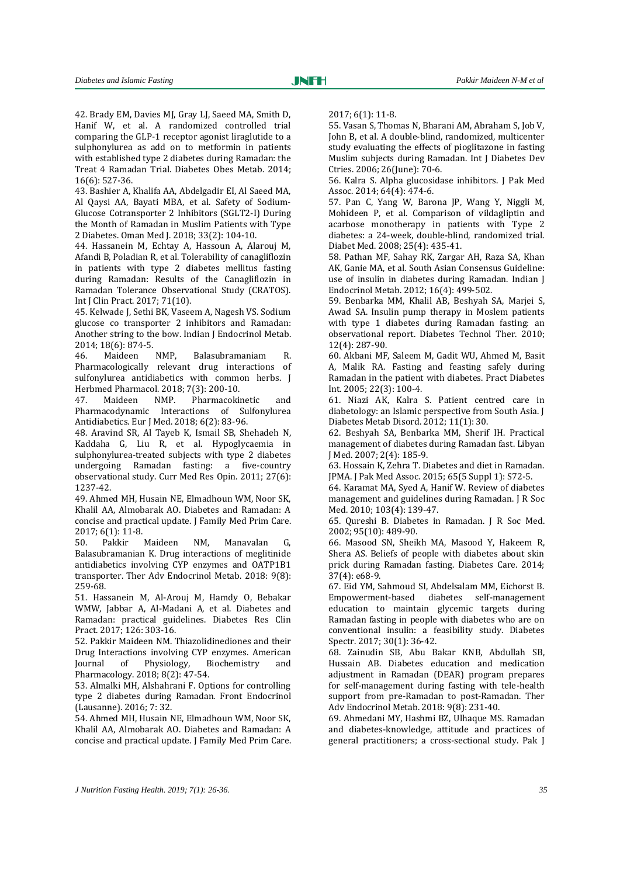42. Brady EM, Davies MJ, Gray LJ, Saeed MA, Smith D, Hanif W, et al. A randomized controlled trial comparing the GLP‐1 receptor agonist liraglutide to a sulphonylurea as add on to metformin in patients with established type 2 diabetes during Ramadan: the Treat 4 Ramadan Trial. Diabetes Obes Metab. 2014; 16(6): 527-36.

43. Bashier A, Khalifa AA, Abdelgadir EI, Al Saeed MA, Al Qaysi AA, Bayati MBA, et al. Safety of Sodium-Glucose Cotransporter 2 Inhibitors (SGLT2-I) During the Month of Ramadan in Muslim Patients with Type 2 Diabetes. Oman Med J. 2018; 33(2): 104-10.

44. Hassanein M, Echtay A, Hassoun A, Alarouj M, Afandi B, Poladian R, et al. Tolerability of canagliflozin in patients with type 2 diabetes mellitus fasting during Ramadan: Results of the Canagliflozin in Ramadan Tolerance Observational Study (CRATOS). Int J Clin Pract. 2017; 71(10).

45. Kelwade J, Sethi BK, Vaseem A, Nagesh VS. Sodium glucose co transporter 2 inhibitors and Ramadan: Another string to the bow. Indian J Endocrinol Metab. 2014; 18(6): 874-5.

46. Maideen NMP, Balasubramaniam R. Pharmacologically relevant drug interactions of sulfonylurea antidiabetics with common herbs. J Herbmed Pharmacol. 2018; 7(3): 200-10.

47. Maideen NMP. Pharmacokinetic and Pharmacodynamic Interactions of Sulfonylurea Antidiabetics. Eur J Med. 2018; 6(2): 83-96.

48. Aravind SR, Al Tayeb K, Ismail SB, Shehadeh N, Kaddaha G, Liu R, et al. Hypoglycaemia in sulphonylurea-treated subjects with type 2 diabetes undergoing Ramadan fasting: a five-country observational study. Curr Med Res Opin. 2011; 27(6): 1237-42.

49. Ahmed MH, Husain NE, Elmadhoun WM, Noor SK, Khalil AA, Almobarak AO. Diabetes and Ramadan: A concise and practical update. J Family Med Prim Care. 2017; 6(1): 11-8.

50. Pakkir Maideen NM, Manavalan G, Balasubramanian K. Drug interactions of meglitinide antidiabetics involving CYP enzymes and OATP1B1 transporter. Ther Adv Endocrinol Metab. 2018: 9(8): 259-68.

51. Hassanein M, Al-Arouj M, Hamdy O, Bebakar WMW, Jabbar A, Al-Madani A, et al. Diabetes and Ramadan: practical guidelines. Diabetes Res Clin Pract. 2017; 126: 303-16.

52. Pakkir Maideen NM. Thiazolidinediones and their Drug Interactions involving CYP enzymes. American Journal of Physiology, Biochemistry and Pharmacology. 2018; 8(2): 47-54.

53. Almalki MH, Alshahrani F. Options for controlling type 2 diabetes during Ramadan. Front Endocrinol (Lausanne). 2016; 7: 32.

54. Ahmed MH, Husain NE, Elmadhoun WM, Noor SK, Khalil AA, Almobarak AO. Diabetes and Ramadan: A concise and practical update. J Family Med Prim Care. 2017; 6(1): 11-8.

55. Vasan S, Thomas N, Bharani AM, Abraham S, Job V, John B, et al. A double-blind, randomized, multicenter study evaluating the effects of pioglitazone in fasting Muslim subjects during Ramadan. Int J Diabetes Dev Ctries. 2006; 26(June): 70-6.

56. Kalra S. Alpha glucosidase inhibitors. J Pak Med Assoc. 2014; 64(4): 474-6.

57. Pan C, Yang W, Barona JP, Wang Y, Niggli M, Mohideen P, et al. Comparison of vildagliptin and acarbose monotherapy in patients with Type 2 diabetes: a 24‐week, double‐blind, randomized trial. Diabet Med. 2008; 25(4): 435-41.

58. Pathan MF, Sahay RK, Zargar AH, Raza SA, Khan AK, Ganie MA, et al. South Asian Consensus Guideline: use of insulin in diabetes during Ramadan. Indian J Endocrinol Metab. 2012; 16(4): 499-502.

59. Benbarka MM, Khalil AB, Beshyah SA, Marjei S, Awad SA. Insulin pump therapy in Moslem patients with type 1 diabetes during Ramadan fasting: an observational report. Diabetes Technol Ther. 2010; 12(4): 287-90.

60. Akbani MF, Saleem M, Gadit WU, Ahmed M, Basit A, Malik RA. Fasting and feasting safely during Ramadan in the patient with diabetes. Pract Diabetes Int. 2005; 22(3): 100-4.

61. Niazi AK, Kalra S. Patient centred care in diabetology: an Islamic perspective from South Asia. J Diabetes Metab Disord. 2012; 11(1): 30.

62. Beshyah SA, Benbarka MM, Sherif IH. Practical management of diabetes during Ramadan fast. Libyan J Med. 2007; 2(4): 185-9.

63. Hossain K, Zehra T. Diabetes and diet in Ramadan. JPMA. J Pak Med Assoc. 2015; 65(5 Suppl 1): S72-5.

64. Karamat MA, Syed A, Hanif W. Review of diabetes management and guidelines during Ramadan. J R Soc Med. 2010; 103(4): 139-47.

65. Qureshi B. Diabetes in Ramadan. J R Soc Med. 2002; 95(10): 489-90.

66. Masood SN, Sheikh MA, Masood Y, Hakeem R, Shera AS. Beliefs of people with diabetes about skin prick during Ramadan fasting. Diabetes Care. 2014; 37(4): e68-9.

67. Eid YM, Sahmoud SI, Abdelsalam MM, Eichorst B. Empowerment-based diabetes self-management education to maintain glycemic targets during Ramadan fasting in people with diabetes who are on conventional insulin: a feasibility study. Diabetes Spectr. 2017; 30(1): 36-42.

68. Zainudin SB, Abu Bakar KNB, Abdullah SB, Hussain AB. Diabetes education and medication adjustment in Ramadan (DEAR) program prepares for self-management during fasting with tele-health support from pre-Ramadan to post-Ramadan. Ther Adv Endocrinol Metab. 2018: 9(8): 231-40.

69. Ahmedani MY, Hashmi BZ, Ulhaque MS. Ramadan and diabetes-knowledge, attitude and practices of general practitioners; a cross-sectional study. Pak J